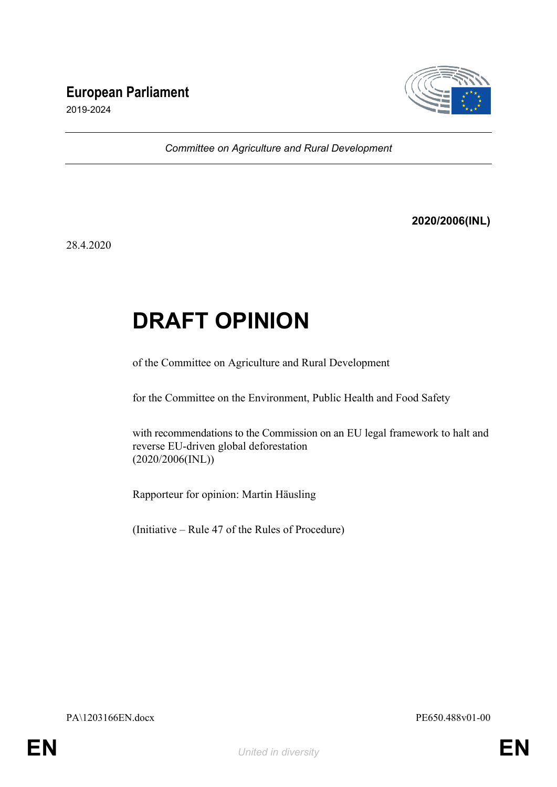## **European Parliament**



2019-2024

*Committee on Agriculture and Rural Development*

**2020/2006(INL)**

28.4.2020

## **DRAFT OPINION**

of the Committee on Agriculture and Rural Development

for the Committee on the Environment, Public Health and Food Safety

with recommendations to the Commission on an EU legal framework to halt and reverse EU-driven global deforestation (2020/2006(INL))

Rapporteur for opinion: Martin Häusling

(Initiative – Rule 47 of the Rules of Procedure)

PA\1203166EN.docx PE650.488v01-00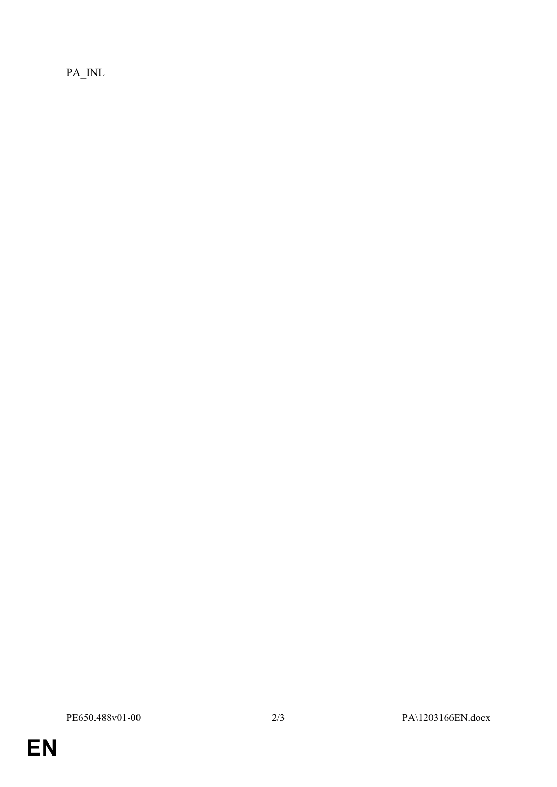PA\_INL

EN